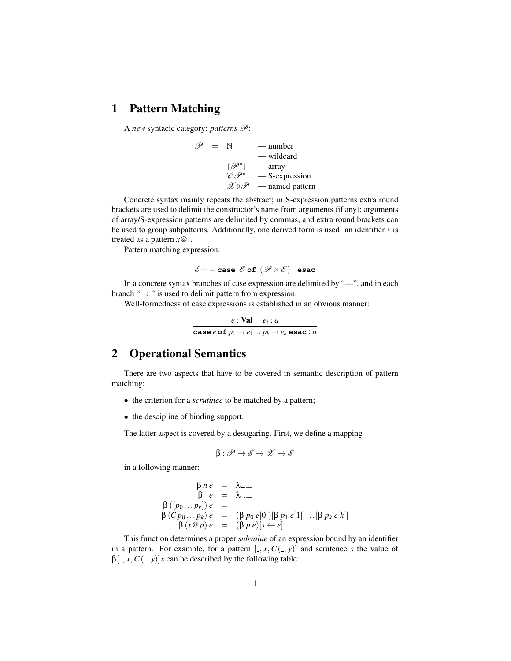## 1 Pattern Matching

A *new* syntacic category: *patterns*  $\mathcal{P}$ :

$$
\mathscr{P} = \mathbb{N} \qquad \text{—number} \\ - \text{wildcard} \\ [\mathscr{P}^*] \qquad \text{—array} \\ \mathscr{C} \mathscr{P}^* \qquad \text{—S-expression} \\ \mathscr{X} \in \mathscr{P} \qquad \text{—named pattern}
$$

Concrete syntax mainly repeats the abstract; in S-expression patterns extra round brackets are used to delimit the constructor's name from arguments (if any); arguments of array/S-expression patterns are delimited by commas, and extra round brackets can be used to group subpatterns. Additionally, one derived form is used: an identifier *x* is treated as a pattern  $x@_$ .

Pattern matching expression:

$$
\mathscr{E}+={\tt case}\,\mathscr{E}\,{\tt of}\,\left(\mathscr{P}\!\times\!\mathscr{E}\right)^+{\tt esac}
$$

In a concrete syntax branches of case expression are delimited by "—", and in each branch " $\rightarrow$ " is used to delimit pattern from expression.

Well-formedness of case expressions is established in an obvious manner:

$$
\cfrac{e:\textbf{Val} \quad e_i : a}{\text{case } e \text{ of } p_1 \rightarrow e_1 \dots p_k \rightarrow e_k \text{ esac} : a}
$$

## 2 Operational Semantics

There are two aspects that have to be covered in semantic description of pattern matching:

- the criterion for a *scrutinee* to be matched by a pattern;
- the descipline of binding support.

The latter aspect is covered by a desugaring. First, we define a mapping

$$
\beta\colon \mathscr{P}\to \mathscr{E}\to \mathscr{X}\to \mathscr{E}
$$

in a following manner:

$$
\beta ne = \lambda ... \bot
$$
  
\n
$$
\beta - e = \lambda ... \bot
$$
  
\n
$$
\beta ([p_0 ... p_k]) e =
$$
  
\n
$$
\beta (Cp_0 ... p_k) e = (\beta p_0 e[0]) [\beta p_1 e[1]] ... [\beta p_k e[k]]
$$
  
\n
$$
\beta (x@p) e = (\beta p e)[x \leftarrow e]
$$

This function determines a proper *subvalue* of an expression bound by an identifier in a pattern. For example, for a pattern  $[.,x, C(.,y)]$  and scrutenee *s* the value of  $\beta$ [, *x*, *C*(,*y*)]*s* can be described by the following table: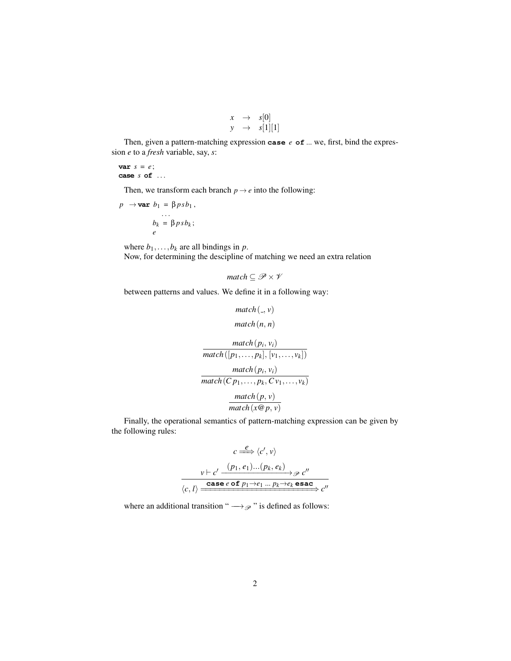$$
\begin{array}{rcl} x & \to & s[0] \\ y & \to & s[1][1] \end{array}
$$

Then, given a pattern-matching expression **case** *e* **of** ... we, first, bind the expression *e* to a *fresh* variable, say, *s*:

**var** *s* = *e*; **case** *s* **of** . . .

Then, we transform each branch  $p \rightarrow e$  into the following:

$$
p \rightarrow \text{var } b_1 = \beta p s b_1 ,
$$
  
\n...  
\n
$$
b_k = \beta p s b_k ;
$$
  
\n
$$
e
$$

where  $b_1$ ,...,*b<sub>k</sub>* are all bindings in *p*. Now, for determining the descipline of matching we need an extra relation

$$
match \subseteq \mathcal{P} \times \mathcal{V}
$$

between patterns and values. We define it in a following way:

$$
match(\_, v)
$$
  
\n
$$
match(n, n)
$$
  
\n
$$
match(p_i, v_i)
$$
  
\n
$$
match([p_1, \ldots, p_k], [v_1, \ldots, v_k])
$$
  
\n
$$
match(p_i, v_i)
$$
  
\n
$$
match(p, v)
$$
  
\n
$$
match(x@p, v)
$$

Finally, the operational semantics of pattern-matching expression can be given by the following rules:

$$
c \stackrel{e}{\Longrightarrow} \langle c', v \rangle
$$
  
\n
$$
v \vdash c' \xrightarrow{(p_1, e_1) \dots (p_k, e_k)} \mathscr{P} c''
$$
  
\n
$$
\langle c, l \rangle \xrightarrow{\text{case } e \text{ of } p_1 \rightarrow e_1 \dots p_k \rightarrow e_k \text{ esac}} c''
$$

where an additional transition "  $\longrightarrow_{\mathcal{P}}$  " is defined as follows: